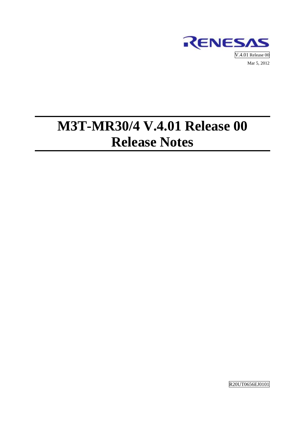

# **M3T-MR30/4 V.4.01 Release 00 Release Notes**

R20UT0656EJ0101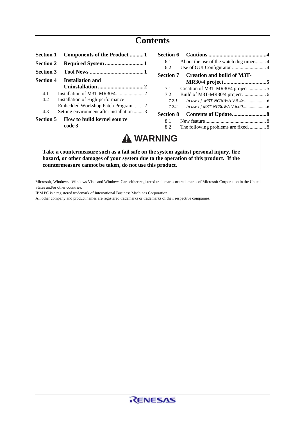| <b>Section 1</b> | <b>Components of the Product 1</b>        |
|------------------|-------------------------------------------|
| <b>Section 2</b> | Required System 1                         |
| <b>Section 3</b> |                                           |
| Section 4        | <b>Installation and</b>                   |
|                  |                                           |
| 41               |                                           |
| 4.2              | Installation of High-performance          |
|                  |                                           |
| 4.3              | Setting environment after installation  3 |
| <b>Section 5</b> | How to build kernel source                |
|                  | code 3                                    |
|                  |                                           |

| 6.1   | About the use of the watch dog timer4 |  |
|-------|---------------------------------------|--|
| 6.2   |                                       |  |
|       | Section 7 Creation and build of M3T-  |  |
|       |                                       |  |
| 7.1   | Creation of M3T-MR30/4 project5       |  |
| 7.2   |                                       |  |
| 7.2.1 |                                       |  |
| 7.2.2 |                                       |  |
|       |                                       |  |
| 8.1   |                                       |  |
| 8.2   |                                       |  |

## **WARNING**

**Take a countermeasure such as a fail safe on the system against personal injury, fire hazard, or other damages of your system due to the operation of this product. If the countermeasure cannot be taken, do not use this product.** 

Microsoft, Windows , Windows Vista and Windows 7 are either registered trademarks or trademarks of Microsoft Corporation in the United States and/or other countries.

IBM PC is a registered trademark of International Business Machines Corporation.

All other company and product names are registered trademarks or trademarks of their respective companies.

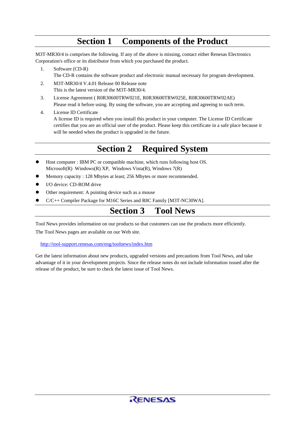### **Section 1 Components of the Product**

<span id="page-2-0"></span>M3T-MR30/4 is comprises the following. If any of the above is missing, contact either Renesas Electronics Corporation's office or its distributor from which you purchased the product.

- 1. Software (CD-R) The CD-R contains the software product and electronic manual necessary for program development.
- 2. M3T-MR30/4 V.4.01 Release 00 Release note This is the latest version of the M3T-MR30/4.
- 3. License Agreement ( R0R30600TRW021E, R0R30600TRW025E, R0R30600TRW02AE) Please read it before using. By using the software, you are accepting and agreeing to such term.
- 4. License ID Certificate A license ID is required when you install this product in your computer. The License ID Certificate certifies that you are an official user of the product. Please keep this certificate in a safe place because it will be needed when the product is upgraded in the future.

### **Section 2 Required System**

- Host computer : IBM PC or compatible machine, which runs following host OS. Microsoft(R) Windows(R) XP, Windows Vista(R), Windows  $7(R)$
- Memory capacity : 128 Mbytes at least; 256 Mbytes or more recommended.
- I/O device: CD-ROM drive
- Other requirement: A pointing device such as a mouse
- z C/C++ Compiler Package for M16C Series and R8C Family [M3T-NC30WA].

### **Section 3 Tool News**

Tool News provides information on our products so that customers can use the products more efficiently. The Tool News pages are available on our Web site.

<http://tool-support.renesas.com/eng/toolnews/index.htm>

Get the latest information about new products, upgraded versions and precautions from Tool News, and take advantage of it in your development projects. Since the release notes do not include information issued after the release of the product, be sure to check the latest issue of Tool News.

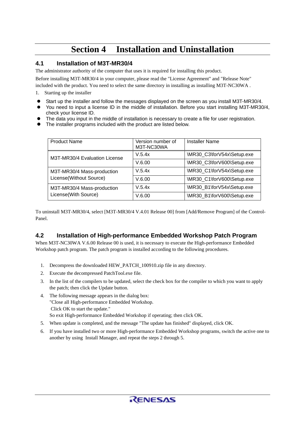### **Section 4 Installation and Uninstallation**

#### <span id="page-3-0"></span>**4.1 Installation of M3T-MR30/4**

The administrator authority of the computer that uses it is required for installing this product.

Before installing M3T-MR30/4 in your computer, please read the "License Agreement" and "Release Note" included with the product. You need to select the same directory in installing as installing M3T-NC30WA .

1. Starting up the installer

- Start up the installer and follow the messages displayed on the screen as you install M3T-MR30/4.
- You need to input a license ID in the middle of installation. Before you start installing M3T-MR30/4, check your license ID.
- The data you input in the middle of installation is necessary to create a file for user registration.
- $\bullet$  The installer programs included with the product are listed below.

| <b>Product Name</b>           | Version number of<br>M3T-NC30WA | <b>Installer Name</b>      |
|-------------------------------|---------------------------------|----------------------------|
| M3T-MR30/4 Evaluation License | V.5.4x                          | \MR30_C3\forV54x\Setup.exe |
|                               | V.6.00                          | \MR30_C3\forV600\Setup.exe |
| M3T-MR30/4 Mass-production    | V.5.4x                          | \MR30_C1\forV54x\Setup.exe |
| License(Without Source)       | V.6.00                          | \MR30_C1\forV600\Setup.exe |
| M3T-MR30/4 Mass-production    | V.5.4x                          | \MR30_B1\forV54x\Setup.exe |
| License(With Source)          | V.6.00                          | \MR30_B1\forV600\Setup.exe |

To uninstall M3T-MR30/4, select [M3T-MR30/4 V.4.01 Release 00] from [Add/Remove Program] of the Control-Panel.

### **4.2 Installation of High-performance Embedded Workshop Patch Program**

When M3T-NC30WA V.6.00 Release 00 is used, it is necessary to execute the High-performance Embedded Workshop patch program. The patch program is installed according to the following procedures.

- 1. Decompress the downloaded HEW\_PATCH\_100910.zip file in any directory.
- 2. Execute the decompressed PatchTool.exe file.
- 3. In the list of the compilers to be updated, select the check box for the compiler to which you want to apply the patch; then click the Update button.
- 4. The following message appears in the dialog box: "Close all High-performance Embedded Workshop. Click OK to start the update." So exit High-performance Embedded Workshop if operating; then click OK.
- 5. When update is completed, and the message "The update has finished" displayed, click OK.
- 6. If you have installed two or more High-performance Embedded Workshop programs, switch the active one to another by using Install Manager, and repeat the steps 2 through 5.

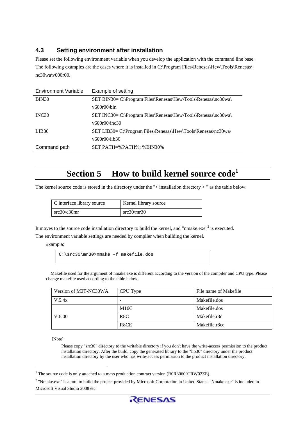### <span id="page-4-0"></span>**4.3 Setting environment after installation**

Please set the following environment variable when you develop the application with the command line base. The following examples are the cases where it is installed in C:\Program Files\Renesas\Hew\Tools\Renesas\ nc30wa\v600r00.

| <b>Environment Variable</b> | Example of setting                                            |
|-----------------------------|---------------------------------------------------------------|
| BIN <sub>30</sub>           | SET BIN30= C:\Program Files\Renesas\Hew\Tools\Renesas\nc30wa\ |
|                             | $v600r00$ \bin                                                |
| INC <sub>30</sub>           | SET INC30= C:\Program Files\Renesas\Hew\Tools\Renesas\nc30wa\ |
|                             | $v600r00$ \inc30                                              |
| LIB <sub>30</sub>           | SET LIB30= C:\Program Files\Renesas\Hew\Tools\Renesas\nc30wa\ |
|                             | $v600r00$ \lib30                                              |
| Command path                | SET PATH=%PATH%; %BIN30%                                      |

### **Section 5 How to build kernel source code**<sup>1</sup>

The kernel source code is stored in the directory under the "< installation directory > " as the table below.

| C interface library source | Kernel library source |
|----------------------------|-----------------------|
| $src30\&30mr$              | $src30\,m30$          |

It moves to the source code installation directory to build the kernel, and "nmake.exe"<sup>2</sup> is executed.

The environment variable settings are needed by compiler when building the kernel.

Example:

```
C:\src30\mr30>nmake –f makefile.dos
```
Makefile used for the argument of nmake.exe is different according to the version of the compiler and CPU type. Please change makefile used according to the table below.

| Version of M3T-NC30WA | CPU Type                 | File name of Makefile |
|-----------------------|--------------------------|-----------------------|
| V.5.4x                | $\overline{\phantom{a}}$ | Makefile.dos          |
|                       | M16C                     | Makefile.dos          |
| V.6.00                | R8C                      | Makefile.r8c          |
|                       | R <sub>8</sub> CE        | Makefile.r8ce         |

[Note]

 $\overline{a}$ 

Please copy "src30" directory to the writable directory if you don't have the write-access permission to the product installation directory. After the build, copy the generated library to the "lib30" directory under the product installation directory by the user who has write-access permission to the product installation directory.

<sup>&</sup>lt;sup>2</sup> "Nmake.exe" is a tool to build the project provided by Microsoft Corporation in United States. "Nmake.exe" is included in Microsoft Visual Studio 2008 etc.



<sup>&</sup>lt;sup>1</sup> The source code is only attached to a mass production contract version (R0R30600TRW02ZE).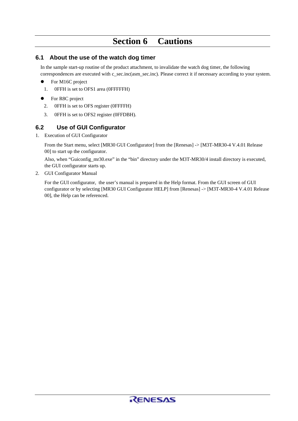### **Section 6 Cautions**

#### <span id="page-5-0"></span>**6.1 About the use of the watch dog timer**

In the sample start-up routine of the product attachment, to invalidate the watch dog timer, the following correspondences are executed with c\_sec.inc(asm\_sec.inc). Please correct it if necessary according to your system.

- $\bullet$  For M16C project
- 1. 0FFH is set to OFS1 area (0FFFFFH)
- For R8C project
	- 2. 0FFH is set to OFS register (0FFFFH)
	- 3. 0FFH is set to OFS2 register (0FFDBH).

#### **6.2 Use of GUI Configurator**

1. Execution of GUI Configurator

From the Start menu, select [MR30 GUI Configurator] from the [Renesas] -> [M3T-MR30-4 V.4.01 Release 00] to start up the configurator.

Also, when "Guiconfig\_mr30.exe" in the "bin" directory under the M3T-MR30/4 install directory is executed, the GUI configurator starts up.

2. GUI Configurator Manual

For the GUI configurator, the user's manual is prepared in the Help format. From the GUI screen of GUI configurator or by selecting [MR30 GUI Configurator HELP] from [Renesas] -> [M3T-MR30-4 V.4.01 Release 00], the Help can be referenced.

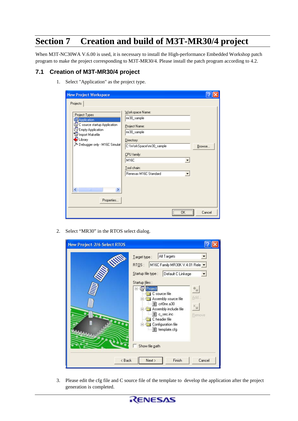## <span id="page-6-0"></span>**Section 7 Creation and build of M3T-MR30/4 project**

When M3T-NC30WA V.6.00 is used, it is necessary to install the High-performance Embedded Workshop patch program to make the project corresponding to M3T-MR30/4. Please install the patch program according to 4.2.

### **7.1 Creation of M3T-MR30/4 project**

1. Select "Application" as the project type.

| <b>New Project Workspace</b>                                                                                    |                                                                              |        |
|-----------------------------------------------------------------------------------------------------------------|------------------------------------------------------------------------------|--------|
| Projects<br>Project Types<br><b>B</b> Application<br>C source startup Application<br><b>R</b> Empty Application | Workspace Name:<br>mr30_sample<br>Project Name:<br>mr30_sample               |        |
| To Import Makefile<br>$\bigcirc$ Library<br>> Debugger only - M16C Simulat                                      | Directory:<br>C:\WorkSpace\mr30_sample<br>CPU family:<br>M16C<br>Tool chain: | Browse |
| ≮∣<br>THE<br>Properties                                                                                         | Renesas M16C Standard                                                        |        |
|                                                                                                                 | $\overline{\mathsf{a}}$ K<br>                                                | Cancel |

2. Select "MR30" in the RTOS select dialog.

| <b>New Project-2/6-Select RTOS</b> |                                                                                                                                                                                                                                                                                                                                                  |
|------------------------------------|--------------------------------------------------------------------------------------------------------------------------------------------------------------------------------------------------------------------------------------------------------------------------------------------------------------------------------------------------|
| <b>UNITED</b><br>00000             | All Targets<br>Target type:<br>M16C Family MR30K V.4.01 Rele v<br>RTQS:<br>Startup file type :<br>Default C Linkege<br>Startup files:<br>Project<br>C source file<br>Add<br>Assembly source file<br>■ crt0mr.a30<br>Assembly include file<br>■ c_sec.inc<br>Remove<br>C header file<br>Configuration file<br>圁<br>template.cfg<br>Show file path |
| < Back                             | Finish<br>Cancel<br>Next >                                                                                                                                                                                                                                                                                                                       |

3. Please edit the cfg file and C source file of the template to develop the application after the project generation is completed.

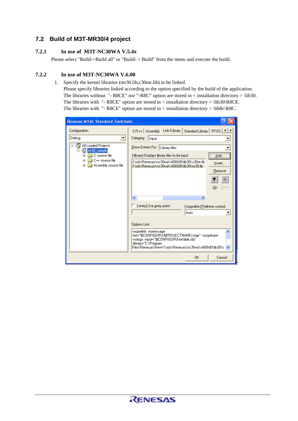#### <span id="page-7-0"></span>**7.2 Build of M3T-MR30/4 project**

#### **7.2.1 In use of M3T-NC30WA V.5.4x**

Please select "Build->Build all" or "Build- > Build" from the menu and execute the build.

#### **7.2.2 In use of M3T-NC30WA V.6.00**

1. Specify the kernel libraries (mr30.lib,c30mr.lib) to be linked.

Please specify libraries linked according to the option specified by the build of the application. The libraries without "- R8CE" nor "-R8C" option are stored in < installation directory > \lib30. The libraries with "- R8CE" option are stored in < installation directory > \lib30\R8CE. The libraries with "- R8CE" option are stored in < installation directory > \lib8c\R8C.

| <b>Renesas M16C Standard Toolchain</b>                                                                                                                |                                                                                                                                                                                                                                                                                                                                                                 |  |
|-------------------------------------------------------------------------------------------------------------------------------------------------------|-----------------------------------------------------------------------------------------------------------------------------------------------------------------------------------------------------------------------------------------------------------------------------------------------------------------------------------------------------------------|--|
| Configuration                                                                                                                                         | Link/Library<br>Standard Library   RTOS   1   ▶<br>$C/C++$ Assembly                                                                                                                                                                                                                                                                                             |  |
| Debug<br>All Loaded Projects<br>mr30_sample<br>r<br>C source file<br>$\overline{+}$<br>C++ source file<br>$\overline{+}$<br>Assembly source file<br>田 | Category:   Input<br>Show Entries For: Library files<br>$\overline{\Delta}$ dd<br>[-library] Displays library files to be input<br>kTools\Renesas\nc30wa\v600r00\lib30\c30mr.lib<br>Insert<br>kTools\Renesas\nc30wa\v600r00\lib30\mr30.lib<br>Remove<br>Up<br>Down                                                                                              |  |
|                                                                                                                                                       | ∢<br>$\rightarrow$<br>$\mathop{\rm Hilb}\nolimits$<br>[-entry] Use entry point :<br>[-noprelink] Prelinker control:<br>Auto<br>Options Link:<br>-noprelink -nomessage<br>-list="\$(CONFIGDIR)\\$(PROJECTNAME).map" -nooptimize<br>-nologo -input="\$(CONFIGDIR)\mrtable.obj"<br>-library="C:\Program<br>Files\Renesas\Hew\Tools\Renesas\nc30wa\v600r00\lib30\c- |  |
|                                                                                                                                                       | OK<br>Cancel                                                                                                                                                                                                                                                                                                                                                    |  |

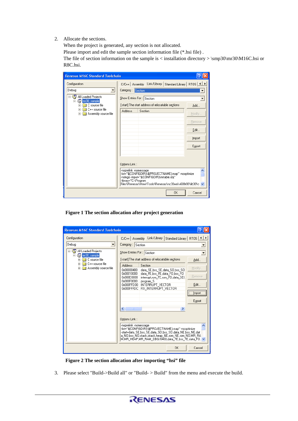2. Allocate the sections.

When the project is generated, any section is not allocated.

Please import and edit the sample section information file (\*.hsi file) .

The file of section information on the sample is  $\langle$  installation directory  $>$  \smp30\mr30\M16C.hsi or R8C.hsi.

| <b>Renesas M16C Standard Toolchain</b>                                                                        |                                                                                                                                                                                                                             |  |
|---------------------------------------------------------------------------------------------------------------|-----------------------------------------------------------------------------------------------------------------------------------------------------------------------------------------------------------------------------|--|
| Configuration                                                                                                 | C/C++   Assembly Link/Library   Standard Library   RTOS   4   1                                                                                                                                                             |  |
| Debug<br>All Loaded Projects<br>mr30_sample<br>Fŀ<br>C source file<br>C++ source file<br>Assembly source file | Category: Section<br>Show Entries For: Section<br>[-start] The start address of relocatable sections<br>Add<br>Address<br>Section<br>Modify<br>Remove<br>Edit<br>Import<br>Export<br>Options Link:<br>-noprelink -nomessage |  |
|                                                                                                               | -list="\$(CONFIGDIR)\\$(PROJECTNAME).map" -nooptimize<br>-nologo -input="\$(CONFIGDIR)\mrtable.obj"<br>-library="C:\Program<br>Files\Renesas\Hew\Tools\Renesas\nc30wa\v600r00\lib30\c \                                     |  |
|                                                                                                               | <b>OK</b><br>Cancel                                                                                                                                                                                                         |  |

**Figure 1 The section allocation after project generation** 

| <b>Renesas M16C Standard Toolchain</b>                         |                                                                                                                                                                                                                                                        |  |
|----------------------------------------------------------------|--------------------------------------------------------------------------------------------------------------------------------------------------------------------------------------------------------------------------------------------------------|--|
| Configuration                                                  | Link/Library<br>Standard Library   RTOS   1 ▶<br>$C/C++$ Assembly                                                                                                                                                                                      |  |
| Debug                                                          | Category: Section                                                                                                                                                                                                                                      |  |
| All Loaded Projects<br>mr30_sample<br>C source file<br>Ė       | Show Entries For: Section<br>[-start] The start address of relocatable sections<br>Add                                                                                                                                                                 |  |
| C++ source file<br>$\overline{+}$<br>Assembly source file<br>审 | Section<br>Address<br>Modify                                                                                                                                                                                                                           |  |
|                                                                | 0x00000400<br>data SE,bss SE,data SO,bss SO<br>0x00010000<br>data FE,bss FE,data FO,bss FO<br>Remove<br>0x000E0000<br>interrupt.rom FE.rom FO.data SEI.                                                                                                |  |
|                                                                | 0x000F0000<br>program S<br>INTERRUPT VECTOR<br>Edit<br>0x000FFD00<br>0x000FFFDC<br>FIX INTERRUPT VECTOR                                                                                                                                                |  |
|                                                                | Import                                                                                                                                                                                                                                                 |  |
|                                                                | Export                                                                                                                                                                                                                                                 |  |
|                                                                | $\left\langle \right\rangle$<br>×<br><b>TITL</b>                                                                                                                                                                                                       |  |
|                                                                | Options Link:                                                                                                                                                                                                                                          |  |
|                                                                | -noprelink -nomessage<br>-list="\$(CONFIGDIR)\\$(PROJECTNAME).map" -nooptimize<br>-start=data_SE,bss_SE,data_SO,bss_SO,data_NE,bss_NE,dat<br>a_NO,bss_NO,stack,istack,heap_NE,rom_NE,rom_NO,MR_RA<br>M.MR HEAP.MR RAM DBG/0400,data FE,bss FE,data FO, |  |
|                                                                | 0K<br>Cancel                                                                                                                                                                                                                                           |  |

**Figure 2 The section allocation after importing "hsi" file** 

3. Please select "Build->Build all" or "Build- > Build" from the menu and execute the build.

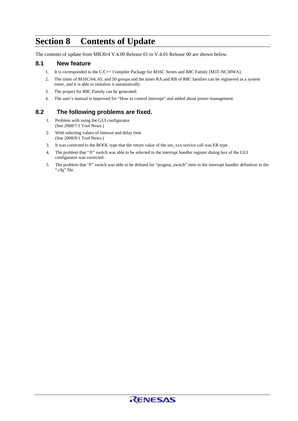### <span id="page-9-0"></span>**Section 8 Contents of Update**

The contents of update from MR30/4 V.4.00 Release 01 to V.4.01 Release 00 are shown below.

#### **8.1 New feature**

- 1. It is corresponded to the C/C++ Compiler Package for M16C Series and R8C Family [M3T-NC30WA].
- 2. The timer of M16C/64, 65, and 50 groups and the timer RA and RB of R8C families can be registered as a system timer, and it is able to initialize it automatically.
- 3. The project for R8C Family can be generated.
- 4. The user's manual is improved for "How to control interrupt" and added about power management.

#### **8.2 The following problems are fixed.**

- 1. Problem with using the GUI configurator (See 2008/7/1 Tool News.)
- 2. With selecting values of timeout and delay time (See 2008/9/1 Tool News.)
- 3. It was corrected to the BOOL type that the return value of the sns\_xxx service call was ER type.
- 4. The problem that "/F" switch was able to be selected in the interrupt handler register dialog box of the GUI configurator was corrected.
- 5. The problem that "F" switch was able to be defined for "pragma\_switch" item in the interrupt handler definition in the ".cfg" file.